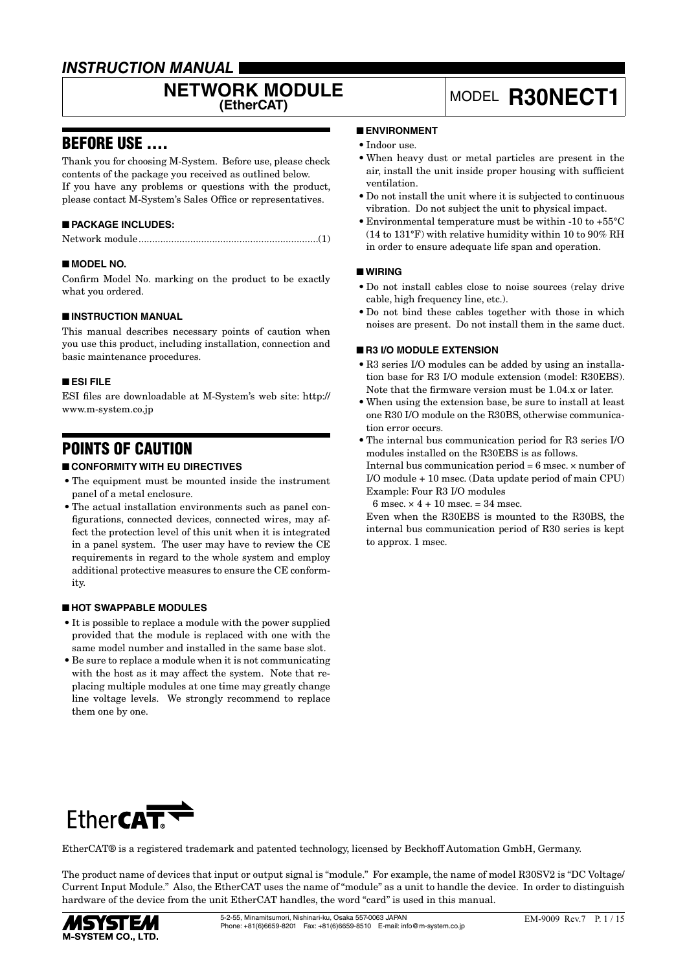## *INSTRUCTION MANUAL*

# **NETWORK MODULE**

## BEFORE USE ....

Thank you for choosing M-System. Before use, please check contents of the package you received as outlined below. If you have any problems or questions with the product, please contact M-System's Sales Office or representatives.

#### ■ **PACKAGE INCLUDES:**

|--|--|--|--|

#### ■ **MODEL NO.**

Confirm Model No. marking on the product to be exactly what you ordered.

#### ■ **INSTRUCTION MANUAL**

This manual describes necessary points of caution when you use this product, including installation, connection and basic maintenance procedures.

#### ■ **ESI FILE**

ESI files are downloadable at M-System's web site: http:// www.m-system.co.jp

## POINTS OF CAUTION

#### ■ **CONFORMITY WITH EU DIRECTIVES**

- The equipment must be mounted inside the instrument panel of a metal enclosure.
- The actual installation environments such as panel configurations, connected devices, connected wires, may affect the protection level of this unit when it is integrated in a panel system. The user may have to review the CE requirements in regard to the whole system and employ additional protective measures to ensure the CE conformity.

#### ■ **HOT SWAPPABLE MODULES**

- It is possible to replace a module with the power supplied provided that the module is replaced with one with the same model number and installed in the same base slot.
- Be sure to replace a module when it is not communicating with the host as it may affect the system. Note that replacing multiple modules at one time may greatly change line voltage levels. We strongly recommend to replace them one by one.

## **(EtherCAT)** MODEL **R30NECT1**

#### ■ **ENVIRONMENT**

- Indoor use.
- When heavy dust or metal particles are present in the air, install the unit inside proper housing with sufficient ventilation.
- Do not install the unit where it is subjected to continuous vibration. Do not subject the unit to physical impact.
- Environmental temperature must be within -10 to +55°C (14 to 131°F) with relative humidity within 10 to 90% RH in order to ensure adequate life span and operation.

#### ■ **WIRING**

- Do not install cables close to noise sources (relay drive cable, high frequency line, etc.).
- Do not bind these cables together with those in which noises are present. Do not install them in the same duct.

#### ■ **R3 I/O MODULE EXTENSION**

- R3 series I/O modules can be added by using an installation base for R3 I/O module extension (model: R30EBS). Note that the firmware version must be 1.04.x or later.
- When using the extension base, be sure to install at least one R30 I/O module on the R30BS, otherwise communication error occurs.
- The internal bus communication period for R3 series I/O modules installed on the R30EBS is as follows.

 Internal bus communication period = 6 msec. × number of I/O module + 10 msec. (Data update period of main CPU) Example: Four R3 I/O modules

6 msec.  $\times$  4 + 10 msec. = 34 msec.

 Even when the R30EBS is mounted to the R30BS, the internal bus communication period of R30 series is kept to approx. 1 msec.



EtherCAT® is a registered trademark and patented technology, licensed by Beckhoff Automation GmbH, Germany.

The product name of devices that input or output signal is "module." For example, the name of model R30SV2 is "DC Voltage/ Current Input Module." Also, the EtherCAT uses the name of "module" as a unit to handle the device. In order to distinguish hardware of the device from the unit EtherCAT handles, the word "card" is used in this manual.

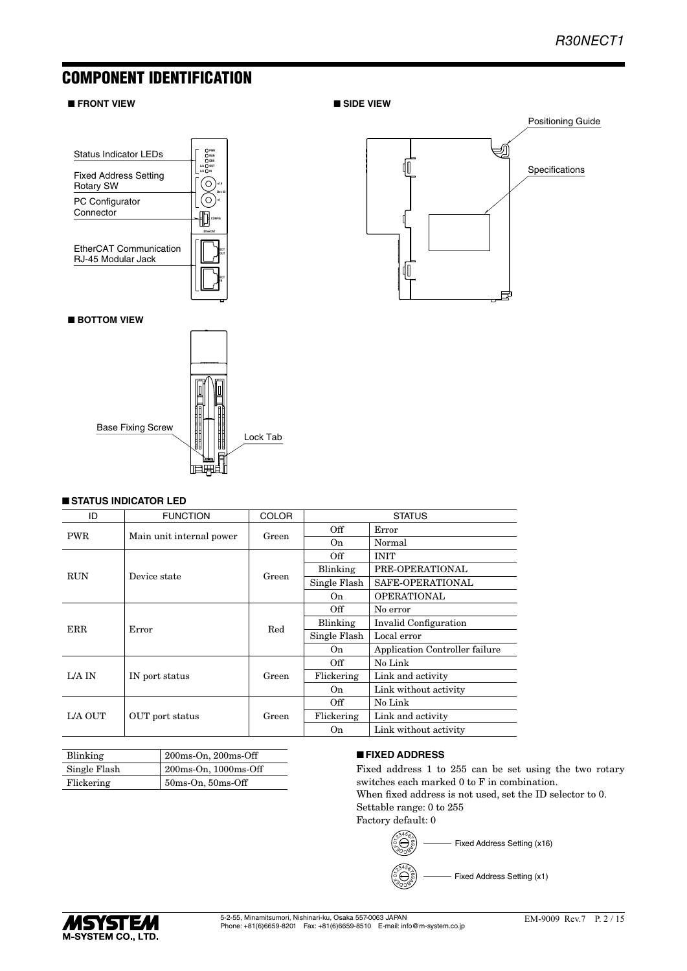## COMPONENT IDENTIFICATION

#### ■ **FRONT VIEW**

| Status Indicator LEDs                        | PWR<br>FRR                             |
|----------------------------------------------|----------------------------------------|
| Fixed Address Setting<br>Rotary SW           | LIA O OUT<br>LIA O IN<br>v16<br>Dev IF |
| PC Configurator<br>Connector                 | CONFIG                                 |
| EtherCAT Communication<br>RJ-45 Modular Jack | FtherCAT<br>ECT<br>out<br>ECT          |
|                                              |                                        |

#### ■ **BOTTOM VIEW**



# Positioning Guide Specifications ⋔ 艮

■ **SIDE VIEW** 

#### ■ **STATUS INDICATOR LED**

| ID         | <b>FUNCTION</b>          | <b>COLOR</b> | <b>STATUS</b>  |                                       |  |
|------------|--------------------------|--------------|----------------|---------------------------------------|--|
| <b>PWR</b> |                          | Green        | Off            | Error                                 |  |
|            | Main unit internal power |              | On             | Normal                                |  |
|            |                          |              | Off            | <b>INIT</b>                           |  |
| <b>RUN</b> | Device state             | Green        | Blinking       | PRE-OPERATIONAL                       |  |
|            |                          |              | Single Flash   | SAFE-OPERATIONAL                      |  |
|            |                          |              | O <sub>n</sub> | <b>OPERATIONAL</b>                    |  |
|            |                          |              | Off            | No error                              |  |
| <b>ERR</b> | Error                    | Red          | Blinking       | Invalid Configuration                 |  |
|            |                          |              | Single Flash   | Local error                           |  |
|            |                          |              | On.            | <b>Application Controller failure</b> |  |
|            |                          |              | Off            | No Link                               |  |
| L/A IN     | IN port status           | Green        | Flickering     | Link and activity                     |  |
|            |                          |              | On.            | Link without activity                 |  |
|            |                          |              | Off            | No Link                               |  |
| L/A OUT    | OUT port status          | Green        | Flickering     | Link and activity                     |  |
|            |                          |              | On             | Link without activity                 |  |

| Blinking     | 200ms-On, 200ms-Off     |
|--------------|-------------------------|
| Single Flash | 200ms-On, 1000ms-Off    |
| Flickering   | $50ms$ -On, $50ms$ -Off |

#### ■ **FIXED ADDRESS**

Fixed address 1 to 255 can be set using the two rotary switches each marked 0 to F in combination. When fixed address is not used, set the ID selector to 0. Settable range: 0 to 255

Factory default: 0





5-2-55, Minamitsumori, Nishinari-ku, Osaka 557-0063 JAPAN Phone: +81(6)6659-8201 Fax: +81(6)6659-8510 E-mail: info@m-system.co.jp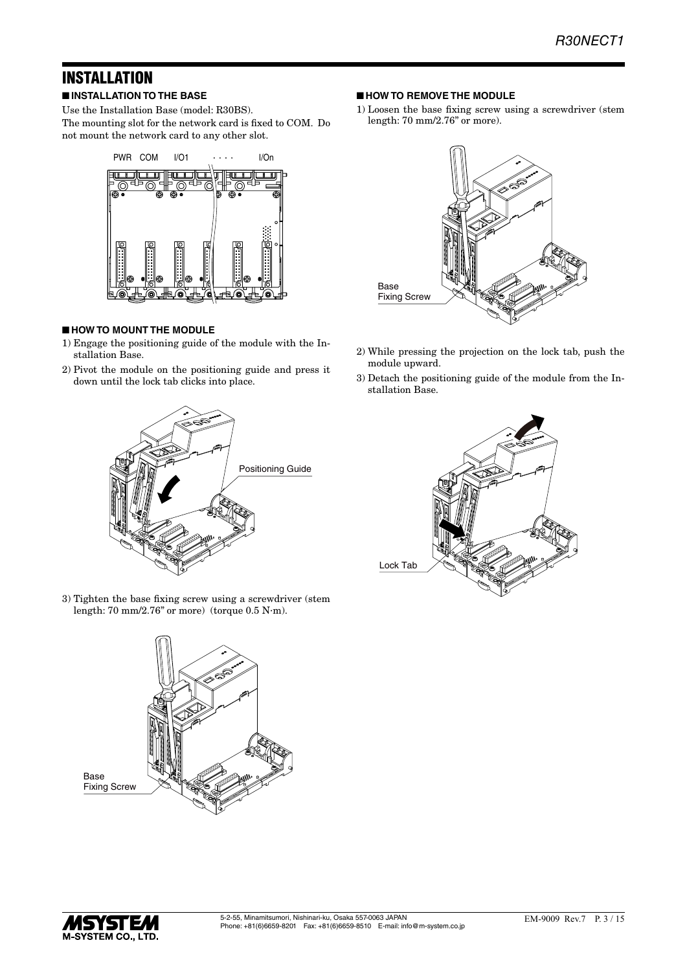## INSTALLATION

■ **INSTALLATION TO THE BASE** Use the Installation Base (model: R30BS).

The mounting slot for the network card is fixed to COM. Do not mount the network card to any other slot.



#### ■ **HOW TO MOUNT THE MODULE**

- 1) Engage the positioning guide of the module with the Installation Base.
- 2) Pivot the module on the positioning guide and press it down until the lock tab clicks into place.



3) Tighten the base fixing screw using a screwdriver (stem length: 70 mm/2.76" or more) (torque 0.5 N·m).



#### ■ **HOW TO REMOVE THE MODULE**

1) Loosen the base fixing screw using a screwdriver (stem length: 70 mm/2.76" or more).



- 2) While pressing the projection on the lock tab, push the module upward.
- 3) Detach the positioning guide of the module from the Installation Base.



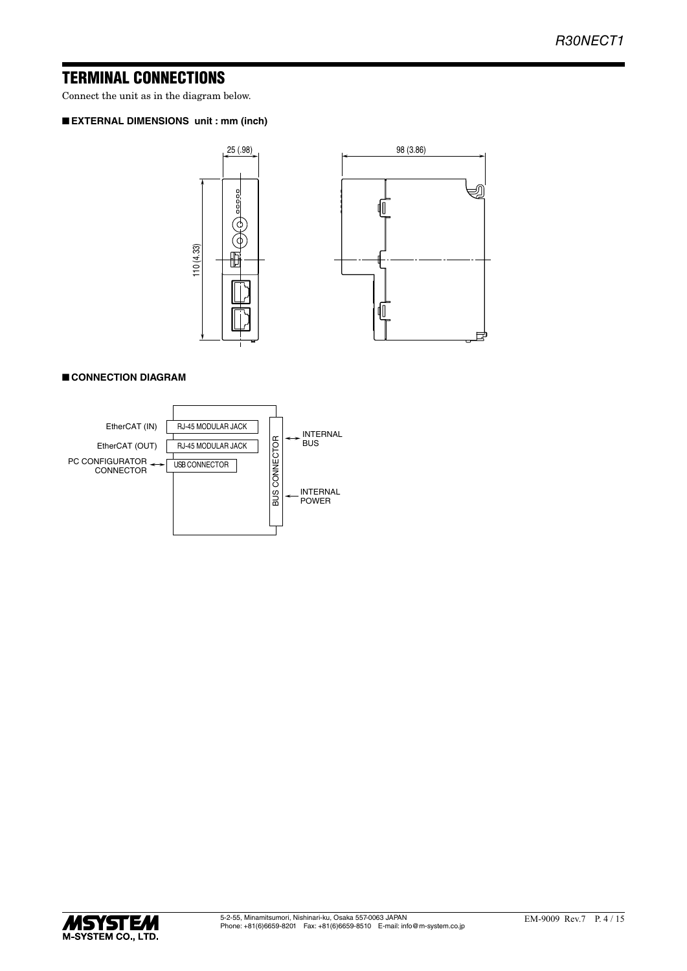## TERMINAL CONNECTIONS

Connect the unit as in the diagram below.

#### ■ **EXTERNAL DIMENSIONS unit : mm (inch)**





#### ■ **CONNECTION DIAGRAM**



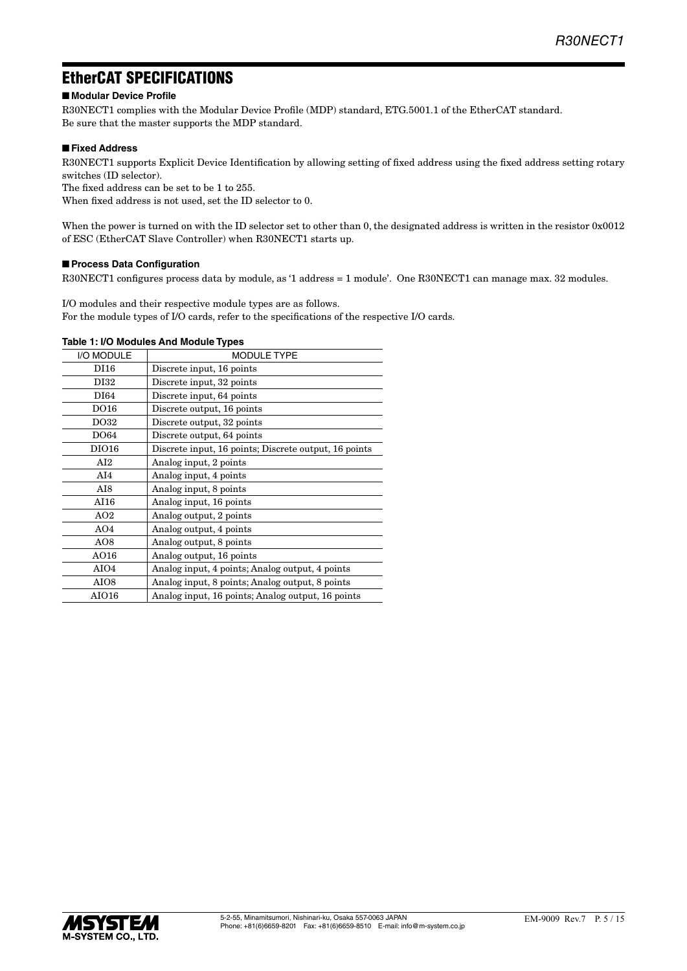## EtherCAT SPECIFICATIONS

#### ■ **Modular Device Profile**

R30NECT1 complies with the Modular Device Profile (MDP) standard, ETG.5001.1 of the EtherCAT standard. Be sure that the master supports the MDP standard.

#### ■ **Fixed Address**

R30NECT1 supports Explicit Device Identification by allowing setting of fixed address using the fixed address setting rotary switches (ID selector).

The fixed address can be set to be 1 to 255.

When fixed address is not used, set the ID selector to 0.

When the power is turned on with the ID selector set to other than 0, the designated address is written in the resistor 0x0012 of ESC (EtherCAT Slave Controller) when R30NECT1 starts up.

#### ■ **Process Data Configuration**

R30NECT1 configures process data by module, as '1 address = 1 module'. One R30NECT1 can manage max. 32 modules.

I/O modules and their respective module types are as follows. For the module types of I/O cards, refer to the specifications of the respective I/O cards.

#### **Table 1: I/O Modules And Module Types**

| I/O MODULE       | <b>MODULE TYPE</b>                                    |
|------------------|-------------------------------------------------------|
| DI16             | Discrete input, 16 points                             |
| DI32             | Discrete input, 32 points                             |
| DI64             | Discrete input, 64 points                             |
| DO16             | Discrete output, 16 points                            |
| DO32             | Discrete output, 32 points                            |
| DO64             | Discrete output, 64 points                            |
| DI016            | Discrete input, 16 points; Discrete output, 16 points |
| AI2              | Analog input, 2 points                                |
| AI4              | Analog input, 4 points                                |
| AI8              | Analog input, 8 points                                |
| AI16             | Analog input, 16 points                               |
| AO2              | Analog output, 2 points                               |
| AO4              | Analog output, 4 points                               |
| AO <sub>8</sub>  | Analog output, 8 points                               |
| AO16             | Analog output, 16 points                              |
| AIO4             | Analog input, 4 points; Analog output, 4 points       |
| AIO <sub>8</sub> | Analog input, 8 points; Analog output, 8 points       |
| AIO16            | Analog input, 16 points; Analog output, 16 points     |

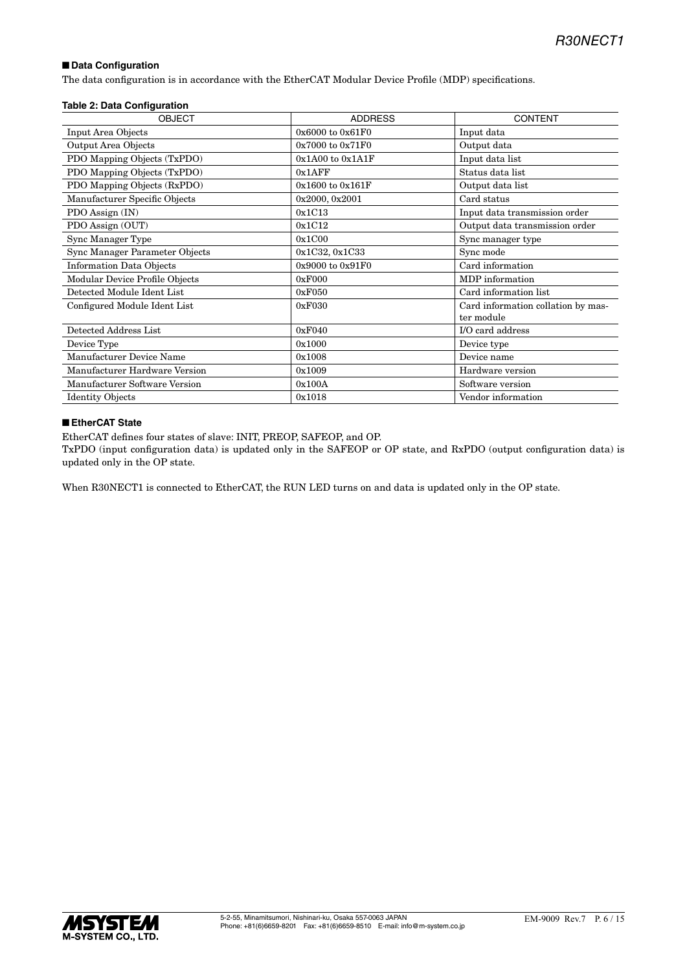#### ■ **Data Configuration**

The data configuration is in accordance with the EtherCAT Modular Device Profile (MDP) specifications.

#### **Table 2: Data Configuration**

| <b>OBJECT</b>                   | <b>ADDRESS</b>       | <b>CONTENT</b>                                   |
|---------------------------------|----------------------|--------------------------------------------------|
| Input Area Objects              | 0x6000 to 0x61F0     | Input data                                       |
| Output Area Objects             | 0x7000 to 0x71F0     | Output data                                      |
| PDO Mapping Objects (TxPDO)     | $0x1A00$ to $0x1A1F$ | Input data list                                  |
| PDO Mapping Objects (TxPDO)     | 0x1AFF               | Status data list                                 |
| PDO Mapping Objects (RxPDO)     | 0x1600 to 0x161F     | Output data list                                 |
| Manufacturer Specific Objects   | 0x2000, 0x2001       | Card status                                      |
| PDO Assign (IN)                 | 0x1C13               | Input data transmission order                    |
| PDO Assign (OUT)                | 0x1C12               | Output data transmission order                   |
| Sync Manager Type               | 0x1C00               | Sync manager type                                |
| Sync Manager Parameter Objects  | 0x1C32, 0x1C33       | Sync mode                                        |
| <b>Information Data Objects</b> | 0x9000 to 0x91F0     | Card information                                 |
| Modular Device Profile Objects  | 0xF000               | MDP information                                  |
| Detected Module Ident List      | 0xF050               | Card information list                            |
| Configured Module Ident List    | 0xF030               | Card information collation by mas-<br>ter module |
| Detected Address List           | 0xF040               | I/O card address                                 |
| Device Type                     | 0x1000               | Device type                                      |
| Manufacturer Device Name        | 0x1008               | Device name                                      |
| Manufacturer Hardware Version   | 0x1009               | Hardware version                                 |
| Manufacturer Software Version   | 0x100A               | Software version                                 |
| <b>Identity Objects</b>         | 0x1018               | Vendor information                               |

#### ■ **EtherCAT State**

EtherCAT defines four states of slave: INIT, PREOP, SAFEOP, and OP.

TxPDO (input configuration data) is updated only in the SAFEOP or OP state, and RxPDO (output configuration data) is updated only in the OP state.

When R30NECT1 is connected to EtherCAT, the RUN LED turns on and data is updated only in the OP state.

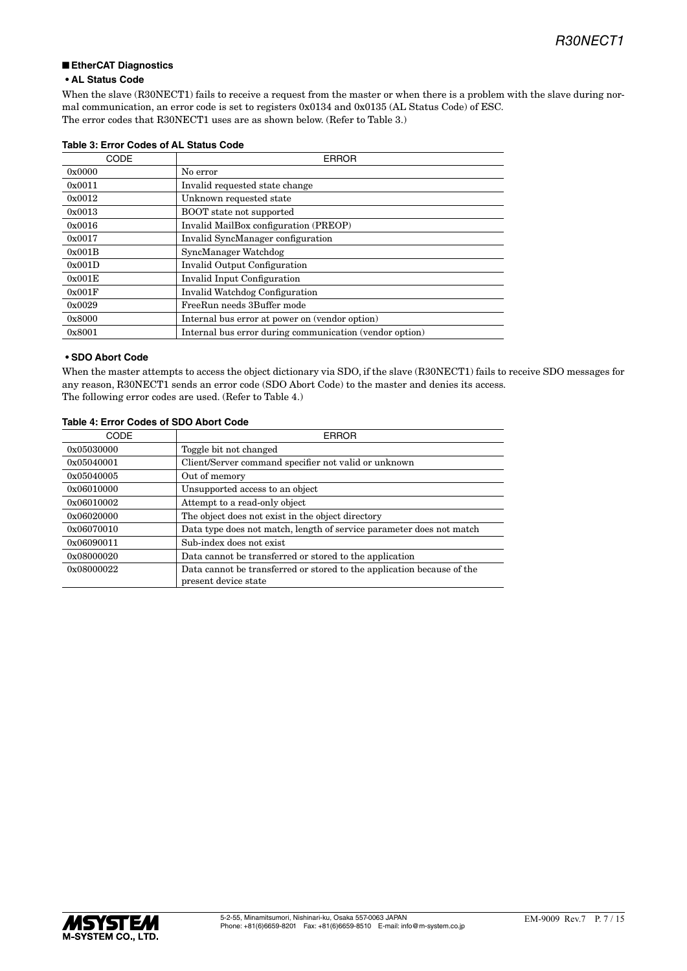#### ■ EtherCAT Diagnostics

#### **• AL Status Code**

When the slave (R30NECT1) fails to receive a request from the master or when there is a problem with the slave during normal communication, an error code is set to registers 0x0134 and 0x0135 (AL Status Code) of ESC. The error codes that R30NECT1 uses are as shown below. (Refer to Table 3.)

| CODE             | <b>ERROR</b>                                            |
|------------------|---------------------------------------------------------|
| 0x0000           | No error                                                |
| 0x0011           | Invalid requested state change                          |
| 0x0012           | Unknown requested state                                 |
| 0x0013           | <b>BOOT</b> state not supported                         |
| 0x0016           | Invalid MailBox configuration (PREOP)                   |
| 0x0017           | Invalid SyncManager configuration                       |
| 0x001B           | SyncManager Watchdog                                    |
| 0x001D           | Invalid Output Configuration                            |
| 0x001E           | Invalid Input Configuration                             |
| $0 \times 001$ F | Invalid Watchdog Configuration                          |
| 0x0029           | FreeRun needs 3Buffer mode                              |
| 0x8000           | Internal bus error at power on (vendor option)          |
| 0x8001           | Internal bus error during communication (vendor option) |

#### **Table 3: Error Codes of AL Status Code**

#### **• SDO Abort Code**

When the master attempts to access the object dictionary via SDO, if the slave (R30NECT1) fails to receive SDO messages for any reason, R30NECT1 sends an error code (SDO Abort Code) to the master and denies its access. The following error codes are used. (Refer to Table 4.)

| CODE       | <b>ERROR</b>                                                                                   |
|------------|------------------------------------------------------------------------------------------------|
| 0x05030000 | Toggle bit not changed                                                                         |
| 0x05040001 | Client/Server command specifier not valid or unknown                                           |
| 0x05040005 | Out of memory                                                                                  |
| 0x06010000 | Unsupported access to an object                                                                |
| 0x06010002 | Attempt to a read-only object                                                                  |
| 0x06020000 | The object does not exist in the object directory                                              |
| 0x06070010 | Data type does not match, length of service parameter does not match                           |
| 0x06090011 | Sub-index does not exist.                                                                      |
| 0x08000020 | Data cannot be transferred or stored to the application                                        |
| 0x08000022 | Data cannot be transferred or stored to the application because of the<br>present device state |

#### **Table 4: Error Codes of SDO Abort Code**

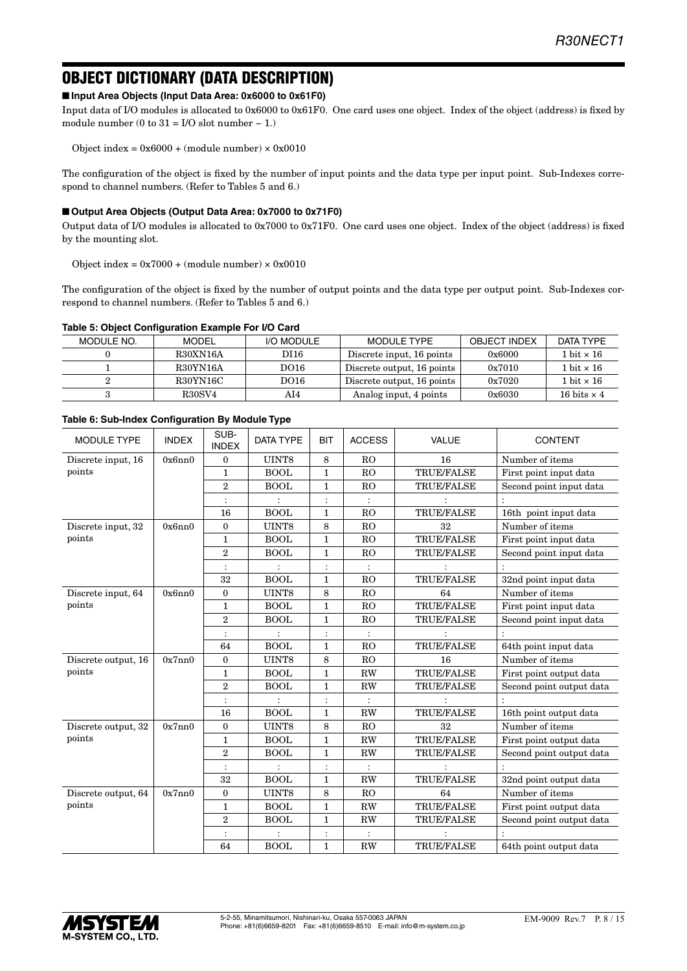## OBJECT DICTIONARY (DATA DESCRIPTION)

■ **Input Area Objects (Input Data Area: 0x6000 to 0x61F0)**

Input data of I/O modules is allocated to 0x6000 to 0x61F0. One card uses one object. Index of the object (address) is fixed by module number  $(0 \text{ to } 31 = I/O$  slot number  $-1$ .)

Object index =  $0x6000 + (module number) \times 0x0010$ 

The configuration of the object is fixed by the number of input points and the data type per input point. Sub-Indexes correspond to channel numbers. (Refer to Tables 5 and 6.)

#### ■ Output Area Objects (Output Data Area: 0x7000 to 0x71F0)

Output data of I/O modules is allocated to 0x7000 to 0x71F0. One card uses one object. Index of the object (address) is fixed by the mounting slot.

Object index =  $0x7000 + (module number) \times 0x0010$ 

The configuration of the object is fixed by the number of output points and the data type per output point. Sub-Indexes correspond to channel numbers. (Refer to Tables 5 and 6.)

#### **Table 5: Object Configuration Example For I/O Card**

| MODULE NO. | MODEL         | I/O MODULE | MODULE TYPE                | <b>OBJECT INDEX</b> | DATA TYPE                 |
|------------|---------------|------------|----------------------------|---------------------|---------------------------|
|            | R30XN16A      | DI 16      | Discrete input, 16 points  | 0x6000              | $1 \text{ bit} \times 16$ |
|            | R30YN16A      | DO16       | Discrete output, 16 points | 0x7010              | $1 \text{ bit} \times 16$ |
|            | R30YN16C      | DO16       | Discrete output, 16 points | 0x7020              | $1 \text{ bit} \times 16$ |
|            | <b>R30SV4</b> | AI4        | Analog input, 4 points     | 0x6030              | 16 bits $\times$ 4        |

#### **Table 6: Sub-Index Configuration By Module Type**

| <b>MODULE TYPE</b>  | <b>INDEX</b> | SUB-<br><b>INDEX</b> | <b>DATA TYPE</b> | <b>BIT</b>     | <b>ACCESS</b>  | <b>VALUE</b>      | <b>CONTENT</b>           |
|---------------------|--------------|----------------------|------------------|----------------|----------------|-------------------|--------------------------|
| Discrete input, 16  | 0x6nn0       | $\Omega$             | UINT8            | 8              | R <sub>O</sub> | 16                | Number of items          |
| points              |              | 1                    | <b>BOOL</b>      | $\mathbf{1}$   | RO             | <b>TRUE/FALSE</b> | First point input data   |
|                     |              | $\overline{2}$       | <b>BOOL</b>      | 1              | <b>RO</b>      | <b>TRUE/FALSE</b> | Second point input data  |
|                     |              |                      |                  | $\ddot{\cdot}$ | $\ddot{\cdot}$ |                   |                          |
|                     |              | 16                   | <b>BOOL</b>      | $\mathbf{1}$   | <b>RO</b>      | <b>TRUE/FALSE</b> | 16th point input data    |
| Discrete input, 32  | 0x6nn0       | $\mathbf{0}$         | UINT8            | 8              | R <sub>O</sub> | 32                | Number of items          |
| points              |              | 1                    | <b>BOOL</b>      | $\mathbf{1}$   | <b>RO</b>      | <b>TRUE/FALSE</b> | First point input data   |
|                     |              | $\overline{2}$       | <b>BOOL</b>      | $\mathbf{1}$   | RO             | <b>TRUE/FALSE</b> | Second point input data  |
|                     |              | $\ddot{\cdot}$       |                  | $\ddot{\cdot}$ | $\ddot{\cdot}$ |                   |                          |
|                     |              | 32                   | <b>BOOL</b>      | $\mathbf{1}$   | <b>RO</b>      | <b>TRUE/FALSE</b> | 32nd point input data    |
| Discrete input, 64  | 0x6nn0       | $\Omega$             | UINT8            | 8              | R <sub>O</sub> | 64                | Number of items          |
| points              |              | 1                    | <b>BOOL</b>      | $\mathbf{1}$   | RO             | <b>TRUE/FALSE</b> | First point input data   |
|                     |              | $\overline{2}$       | <b>BOOL</b>      | 1              | RO             | <b>TRUE/FALSE</b> | Second point input data  |
|                     |              | $\ddot{\cdot}$       |                  | $\ddot{\cdot}$ | $\ddot{\cdot}$ |                   |                          |
|                     |              | 64                   | <b>BOOL</b>      | 1              | <b>RO</b>      | <b>TRUE/FALSE</b> | 64th point input data    |
| Discrete output, 16 | 0x7nn0       | $\Omega$             | UINT8            | 8              | RO             | 16                | Number of items          |
| points              |              | 1                    | <b>BOOL</b>      | 1              | <b>RW</b>      | <b>TRUE/FALSE</b> | First point output data  |
|                     |              | $\overline{2}$       | <b>BOOL</b>      | $\mathbf{1}$   | RW             | TRUE/FALSE        | Second point output data |
|                     |              |                      |                  |                |                |                   |                          |
|                     |              | 16                   | <b>BOOL</b>      | $\mathbf{1}$   | <b>RW</b>      | <b>TRUE/FALSE</b> | 16th point output data   |
| Discrete output, 32 | 0x7nn0       | $\overline{0}$       | UINT8            | 8              | RO             | 32                | Number of items          |
| points              |              | 1                    | <b>BOOL</b>      | $\mathbf{1}$   | <b>RW</b>      | <b>TRUE/FALSE</b> | First point output data  |
|                     |              | 2                    | <b>BOOL</b>      | 1              | RW             | <b>TRUE/FALSE</b> | Second point output data |
|                     |              |                      |                  | $\ddot{\cdot}$ | :              |                   |                          |
|                     |              | 32                   | <b>BOOL</b>      | $\mathbf{1}$   | <b>RW</b>      | <b>TRUE/FALSE</b> | 32nd point output data   |
| Discrete output, 64 | 0x7nn0       | $\mathbf{0}$         | UINT8            | 8              | RO             | 64                | Number of items          |
| points              |              | 1                    | <b>BOOL</b>      | $\mathbf{1}$   | <b>RW</b>      | <b>TRUE/FALSE</b> | First point output data  |
|                     |              | $\overline{2}$       | <b>BOOL</b>      | 1              | RW             | <b>TRUE/FALSE</b> | Second point output data |
|                     |              | $\ddot{\cdot}$       |                  | $\ddot{\cdot}$ | $\ddot{\cdot}$ |                   |                          |
|                     |              | 64                   | <b>BOOL</b>      | $\mathbf{1}$   | <b>RW</b>      | <b>TRUE/FALSE</b> | 64th point output data   |

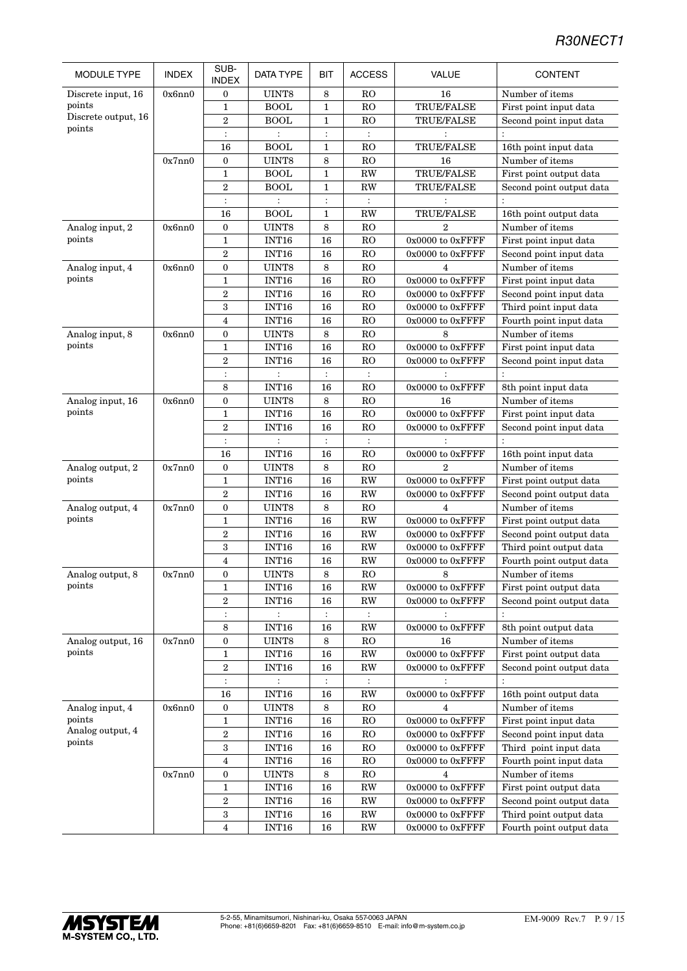### *R30NECT1*

| <b>MODULE TYPE</b>  | <b>INDEX</b> | SUB-<br><b>INDEX</b>   | DATA TYPE                     | <b>BIT</b>           | <b>ACCESS</b>        | VALUE                              | <b>CONTENT</b>                            |
|---------------------|--------------|------------------------|-------------------------------|----------------------|----------------------|------------------------------------|-------------------------------------------|
| Discrete input, 16  | 0x6nn0       | 0                      | UINT8                         | 8                    | RO                   | 16                                 | Number of items                           |
| points              |              | 1                      | BOOL                          | 1                    | <b>RO</b>            | <b>TRUE/FALSE</b>                  | First point input data                    |
| Discrete output, 16 |              | $\mathbf{2}$           | <b>BOOL</b>                   | $\mathbf{1}$         | RO                   | TRUE/FALSE                         | Second point input data                   |
| points              |              | $\ddot{\cdot}$         |                               | $\ddot{\cdot}$       | $\ddot{\phantom{a}}$ |                                    |                                           |
|                     |              | 16                     | <b>BOOL</b>                   | $\mathbf{1}$         | <b>RO</b>            | <b>TRUE/FALSE</b>                  | 16th point input data                     |
|                     | 0x7nn0       | $\mathbf{0}$           | UINT8                         | 8                    | RO                   | 16                                 | Number of items                           |
|                     |              | $\mathbf{1}$           | BOOL                          | $\mathbf{1}$         | <b>RW</b>            | <b>TRUE/FALSE</b>                  | First point output data                   |
|                     |              | $\overline{2}$         | <b>BOOL</b>                   | $\mathbf{1}$         | <b>RW</b>            | TRUE/FALSE                         | Second point output data                  |
|                     |              | $\ddot{\cdot}$         |                               | $\ddot{\cdot}$       | $\ddot{\cdot}$       |                                    |                                           |
|                     |              | 16                     | <b>BOOL</b>                   | $\mathbf{1}$         | <b>RW</b>            | <b>TRUE/FALSE</b>                  | 16th point output data                    |
| Analog input, 2     | 0x6nn0       | $\boldsymbol{0}$       | UINT8                         | 8                    | RO                   | $\overline{2}$                     | Number of items                           |
| points              |              | 1                      | INT16                         | 16                   | RO                   | 0x0000 to 0xFFFF                   | First point input data                    |
|                     |              | $\overline{2}$         | <b>INT16</b>                  | 16                   | RO                   | 0x0000 to 0xFFFF                   | Second point input data                   |
| Analog input, 4     | 0x6nn0       | $\boldsymbol{0}$       | UINT8                         | 8                    | RO                   | 4                                  | Number of items                           |
| points              |              | 1                      | <b>INT16</b>                  | 16                   | RO                   | 0x0000 to 0xFFFF                   | First point input data                    |
|                     |              | $\overline{2}$         | <b>INT16</b>                  | 16                   | RO                   | 0x0000 to 0xFFFF                   | Second point input data                   |
|                     |              | 3                      | INT16                         | 16                   | RO                   | 0x0000 to 0xFFFF                   | Third point input data                    |
|                     |              | $\overline{4}$         | <b>INT16</b>                  | 16                   | RO                   | 0x0000 to 0xFFFF                   | Fourth point input data                   |
| Analog input, 8     | 0x6nn0       | $\mathbf{0}$           | UINT8                         | $\,8\,$              | RO                   | 8                                  | Number of items                           |
| points              |              | 1                      | INT16                         | 16                   | RO                   | 0x0000 to 0xFFFF                   | First point input data                    |
|                     |              | $\overline{2}$         | INT16                         | 16                   | RO                   | 0x0000 to 0xFFFF                   | Second point input data                   |
|                     |              | $\ddot{\cdot}$         |                               | $\ddot{\cdot}$       | $\ddot{\cdot}$       |                                    | $\ddot{\cdot}$                            |
|                     |              | 8                      | INT16                         | 16                   | RO                   | 0x0000 to 0xFFFF                   | 8th point input data                      |
| Analog input, 16    | 0x6nn0       | $\boldsymbol{0}$       | UINT8                         | 8                    | RO                   | 16                                 | Number of items                           |
| points              |              | 1                      | <b>INT16</b>                  | 16                   | RO                   | 0x0000 to 0xFFFF                   | First point input data                    |
|                     |              | $\overline{2}$         | INT <sub>16</sub>             | 16                   | RO                   | 0x0000 to 0xFFFF                   | Second point input data                   |
|                     |              | $\ddot{\cdot}$         | $\ddot{\cdot}$                | $\ddot{\phantom{a}}$ | :                    |                                    |                                           |
|                     |              | 16                     | <b>INT16</b>                  | 16                   | RO                   | 0x0000 to 0xFFFF                   | 16th point input data                     |
| Analog output, 2    | 0x7nn0       | $\bf{0}$               | UINT8                         | $\,8\,$              | RO                   | $\overline{2}$                     | Number of items                           |
| points              |              | 1                      | INT <sub>16</sub>             | 16                   | <b>RW</b>            | 0x0000 to 0xFFFF                   | First point output data                   |
|                     |              | $\overline{2}$         | INT <sub>16</sub>             | 16                   | $\mathbf{RW}$        | 0x0000 to 0xFFFF                   | Second point output data                  |
| Analog output, 4    | 0x7nn0       | $\boldsymbol{0}$       | UINT8                         | $\,8\,$              | RO                   | $\overline{4}$                     | Number of items                           |
| points              |              | 1                      | INT <sub>16</sub>             | 16                   | <b>RW</b>            | 0x0000 to 0xFFFF                   | First point output data                   |
|                     |              | $\overline{2}$         | INT16                         | 16                   | RW                   | 0x0000 to 0xFFFF                   | Second point output data                  |
|                     |              | 3                      | INT16                         | 16                   | <b>RW</b>            | 0x0000 to 0xFFFF                   | Third point output data                   |
|                     |              | 4                      | <b>INT16</b>                  | 16                   | <b>RW</b>            | 0x0000 to 0xFFFF                   | Fourth point output data                  |
| Analog output, 8    | 0x7nn0       | $\overline{0}$         | UINT8                         | 8                    | RO                   | 8                                  | Number of items                           |
| points              |              |                        | INT <sub>16</sub>             | 16                   | RW                   | 0x0000 to 0xFFFF                   | First point output data                   |
|                     |              | 1<br>$\overline{2}$    | <b>INT16</b>                  | 16                   | $\mathbf{RW}$        | 0x0000 to 0xFFFF                   | Second point output data                  |
|                     |              | :                      | $\ddot{\phantom{a}}$          | $\ddot{\cdot}$       | $\ddot{\phantom{a}}$ |                                    |                                           |
|                     |              | 8                      | INT16                         | 16                   | $\mathbf{RW}$        | 0x0000 to 0xFFFF                   | 8th point output data                     |
| Analog output, 16   | 0x7nn0       | $\bf{0}$               | UINT8                         | $\,8\,$              | RO                   | 16                                 | Number of items                           |
| points              |              | 1                      | INT16                         | 16                   | RW                   | 0x0000 to 0xFFFF                   | First point output data                   |
|                     |              | $\,2\,$                | INT16                         | 16                   | RW                   | 0x0000 to 0xFFFF                   | Second point output data                  |
|                     |              |                        |                               |                      |                      |                                    |                                           |
|                     |              |                        |                               | $\ddot{\cdot}$       | $\ddot{\cdot}$       |                                    |                                           |
| Analog input, 4     | 0x6nn0       | 16<br>$\boldsymbol{0}$ | <b>INT16</b><br>UINT8         | 16<br>8              | RW<br>RO             | 0x0000 to 0xFFFF<br>$\overline{4}$ | 16th point output data<br>Number of items |
| points              |              |                        |                               |                      |                      |                                    |                                           |
| Analog output, 4    |              | 1<br>$\overline{2}$    | INT <sub>16</sub>             | 16                   | RO<br>${\rm RO}$     | 0x0000 to 0xFFFF                   | First point input data                    |
| points              |              |                        | INT16                         | 16                   |                      | 0x0000 to 0xFFFF                   | Second point input data                   |
|                     |              | 3                      | <b>INT16</b>                  | 16                   | RO                   | 0x0000 to 0xFFFF                   | Third point input data                    |
|                     |              | $\overline{4}$         | $\ensuremath{\text{INT16}}$   | 16                   | RO                   | 0x0000 to 0xFFFF                   | Fourth point input data                   |
|                     | 0x7nn0       | $\boldsymbol{0}$       | $\ensuremath{\mathrm{UINT8}}$ | $\,8\,$              | RO                   | $\overline{4}$                     | Number of items                           |
|                     |              | $\mathbf{1}$           | <b>INT16</b>                  | 16                   | RW                   | 0x0000 to 0xFFFF                   | First point output data                   |
|                     |              | $\boldsymbol{2}$       | INT16                         | 16                   | RW                   | 0x0000 to 0xFFFF                   | Second point output data                  |
|                     |              | 3                      | INT <sub>16</sub>             | 16                   | $\mathbf{RW}$        | 0x0000 to 0xFFFF                   | Third point output data                   |
|                     |              | $\overline{4}$         | INT16                         | 16                   | RW                   | 0x0000 to 0xFFFF                   | Fourth point output data                  |

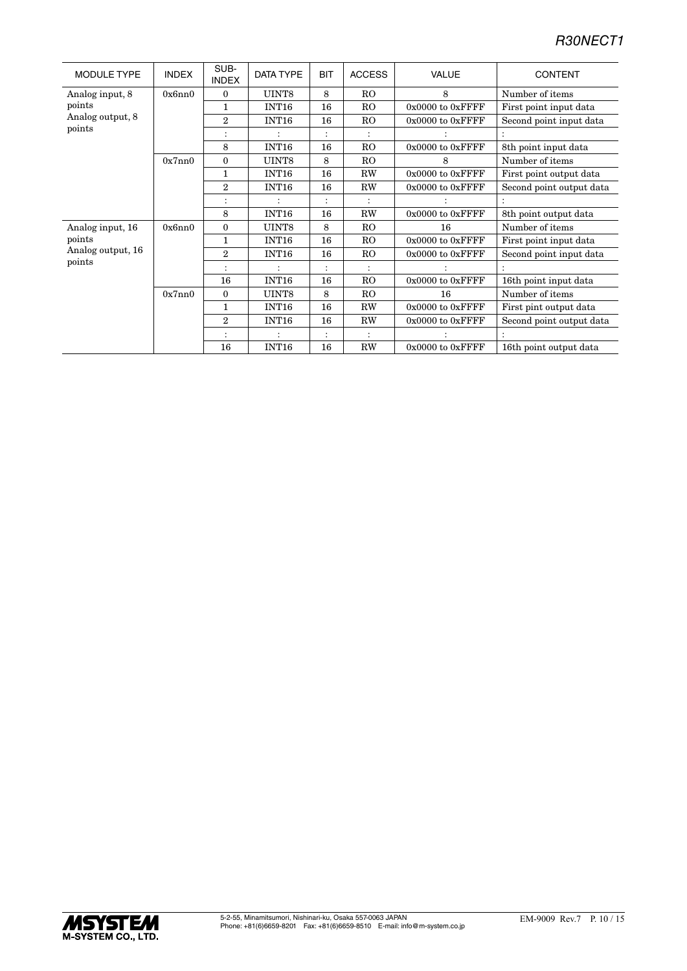| <b>MODULE TYPE</b> | <b>INDEX</b> | SUB-<br><b>INDEX</b> | DATA TYPE         | <b>BIT</b>     | <b>ACCESS</b>  | <b>VALUE</b>         | <b>CONTENT</b>           |
|--------------------|--------------|----------------------|-------------------|----------------|----------------|----------------------|--------------------------|
| Analog input, 8    | 0x6nn0       | $\theta$             | UINT8             | 8              | R <sub>O</sub> | 8                    | Number of items          |
| points             |              | 1                    | <b>INT16</b>      | 16             | R <sub>O</sub> | $0x0000$ to $0xFFFF$ | First point input data   |
| Analog output, 8   |              | $\overline{2}$       | <b>INT16</b>      | 16             | R <sub>O</sub> | 0x0000 to 0xFFFF     | Second point input data  |
| points             |              | $\ddot{\cdot}$       |                   | $\ddot{\cdot}$ | $\ddot{\cdot}$ |                      |                          |
|                    |              | 8                    | <b>INT16</b>      | 16             | R <sub>O</sub> | $0x0000$ to $0xFFFF$ | 8th point input data     |
|                    | 0x7nn0       | $\Omega$             | UINT8             | 8              | R <sub>O</sub> | 8                    | Number of items          |
|                    |              | 1                    | <b>INT16</b>      | 16             | RW             | $0x0000$ to $0xFFFF$ | First point output data  |
|                    |              | $\overline{2}$       | <b>INT16</b>      | 16             | RW             | $0x0000$ to $0xFFFF$ | Second point output data |
|                    |              | :                    |                   | $\ddot{\cdot}$ | $\ddot{\cdot}$ |                      |                          |
|                    |              | 8                    | INT <sub>16</sub> | 16             | <b>RW</b>      | $0x0000$ to $0xFFFF$ | 8th point output data    |
| Analog input, 16   | 0x6nn0       | $\Omega$             | UINT8             | 8              | R <sub>O</sub> | 16                   | Number of items          |
| points             |              | 1                    | <b>INT16</b>      | 16             | R <sub>O</sub> | $0x0000$ to $0xFFFF$ | First point input data   |
| Analog output, 16  |              | $\overline{2}$       | <b>INT16</b>      | 16             | RO             | 0x0000 to 0xFFFF     | Second point input data  |
| points             |              |                      |                   | ٠              |                |                      |                          |
|                    |              | 16                   | <b>INT16</b>      | 16             | <b>RO</b>      | $0x0000$ to $0xFFFF$ | 16th point input data    |
|                    | 0x7nn0       | $\mathbf{0}$         | UINT8             | 8              | R <sub>O</sub> | 16                   | Number of items          |
|                    |              | 1                    | INT <sub>16</sub> | 16             | RW             | $0x0000$ to $0xFFFF$ | First pint output data   |
|                    |              | 2                    | <b>INT16</b>      | 16             | RW             | 0x0000 to 0xFFFF     | Second point output data |
|                    |              |                      |                   | $\ddot{\cdot}$ | $\ddot{\cdot}$ |                      |                          |
|                    |              | 16                   | <b>INT16</b>      | 16             | RW             | $0x0000$ to $0xFFFF$ | 16th point output data   |

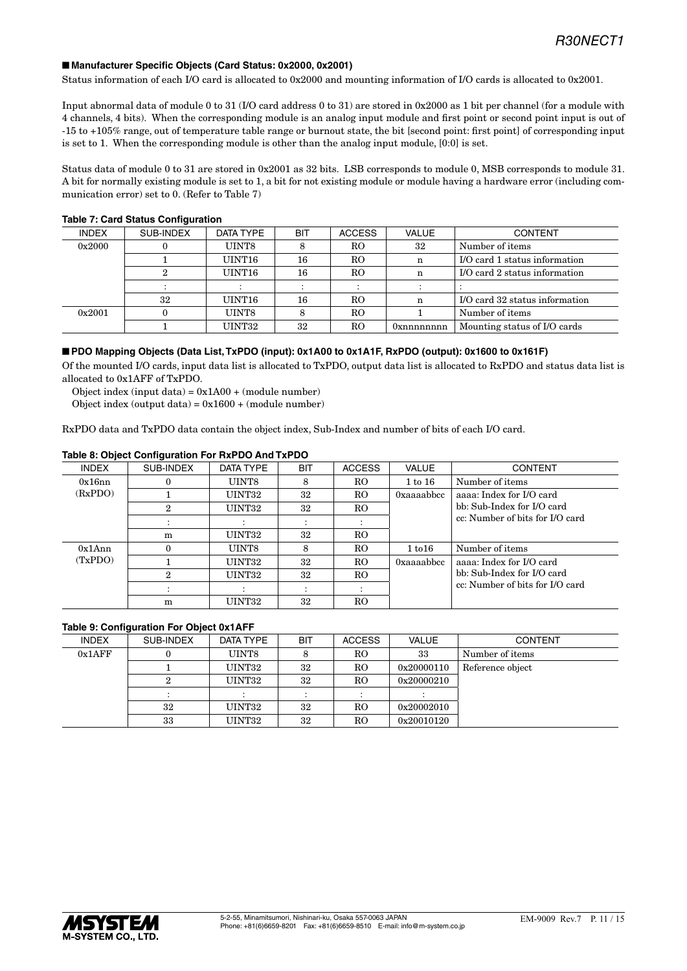#### ■ Manufacturer Specific Objects (Card Status: 0x2000, 0x2001)

Status information of each I/O card is allocated to 0x2000 and mounting information of I/O cards is allocated to 0x2001.

Input abnormal data of module 0 to 31 (I/O card address 0 to 31) are stored in 0x2000 as 1 bit per channel (for a module with 4 channels, 4 bits). When the corresponding module is an analog input module and first point or second point input is out of -15 to +105% range, out of temperature table range or burnout state, the bit [second point: first point] of corresponding input is set to 1. When the corresponding module is other than the analog input module, [0:0] is set.

Status data of module 0 to 31 are stored in 0x2001 as 32 bits. LSB corresponds to module 0, MSB corresponds to module 31. A bit for normally existing module is set to 1, a bit for not existing module or module having a hardware error (including communication error) set to 0. (Refer to Table 7)

| <b>INDEX</b> | SUB-INDEX | DATA TYPE | <b>BIT</b> | <b>ACCESS</b>  | <b>VALUE</b> | <b>CONTENT</b>                 |
|--------------|-----------|-----------|------------|----------------|--------------|--------------------------------|
| 0x2000       |           | UINT8     |            | RO             | 32           | Number of items                |
|              |           | UINT16    | 16         | R <sub>O</sub> | n            | I/O card 1 status information  |
|              |           | UINT16    | 16         | RO.            | n            | I/O card 2 status information  |
|              |           |           |            |                |              |                                |
|              | 32        | UINT16    | 16         | RO.            | n            | I/O card 32 status information |
| 0x2001       |           | UINT8     |            | <b>RO</b>      |              | Number of items                |
|              |           | UINT32    | 32         | RO             |              | Mounting status of I/O cards   |

#### **Table 7: Card Status Configuration**

#### ■ **PDO Mapping Objects (Data List, TxPDO (input): 0x1A00 to 0x1A1F, RxPDO (output): 0x1600 to 0x161F)**

Of the mounted I/O cards, input data list is allocated to TxPDO, output data list is allocated to RxPDO and status data list is allocated to 0x1AFF of TxPDO.

Object index (input data) =  $0x1A00 + (module number)$ 

Object index (output data) =  $0x1600 + (module number)$ 

RxPDO data and TxPDO data contain the object index, Sub-Index and number of bits of each I/O card.

#### **Table 8: Object Configuration For RxPDO And TxPDO**

| <b>INDEX</b> | SUB-INDEX      | DATA TYPE | <b>BIT</b> | <b>ACCESS</b> | <b>VALUE</b>       | <b>CONTENT</b>                  |
|--------------|----------------|-----------|------------|---------------|--------------------|---------------------------------|
| 0x16nn       | $\Omega$       | UINT8     | 8          | RO.           | $1 \text{ to } 16$ | Number of items                 |
| (RxPDO)      |                | UINT32    | 32         | RO.           | $0$ xaaaabb $cc$   | aaaa: Index for I/O card        |
|              | $\overline{2}$ | UINT32    | 32         | RO.           |                    | bb: Sub-Index for I/O card      |
|              |                |           |            |               |                    | cc: Number of bits for I/O card |
|              | m              | UINT32    | 32         | RO.           |                    |                                 |
| 0x1Ann       | $\Omega$       | UINT8     | 8          | RO.           | 1 to 16            | Number of items                 |
| (TxPDO)      |                | UINT32    | 32         | RO.           | $0$ xaaaabb $cc$   | aaaa: Index for I/O card        |
|              | $\overline{2}$ | UINT32    | 32         | RO.           |                    | bb: Sub-Index for I/O card      |
|              |                |           |            |               |                    | cc: Number of bits for I/O card |
|              | m              | UINT32    | 32         | RO.           |                    |                                 |

#### **Table 9: Configuration For Object 0x1AFF**

| <b>INDEX</b> | SUB-INDEX | DATA TYPE | <b>BIT</b> | <b>ACCESS</b> | VALUE      | <b>CONTENT</b>   |
|--------------|-----------|-----------|------------|---------------|------------|------------------|
| 0x1AFF       |           | UINT8     |            | RO            | 33         | Number of items  |
|              |           | UINT32    | 32         | RO            | 0x20000110 | Reference object |
|              |           | UINT32    | 32         | RO.           | 0x20000210 |                  |
|              |           |           |            |               |            |                  |
|              | 32        | UINT32    | 32         | RO            | 0x20002010 |                  |
|              | 33        | UINT32    | 32         | RO            | 0x20010120 |                  |

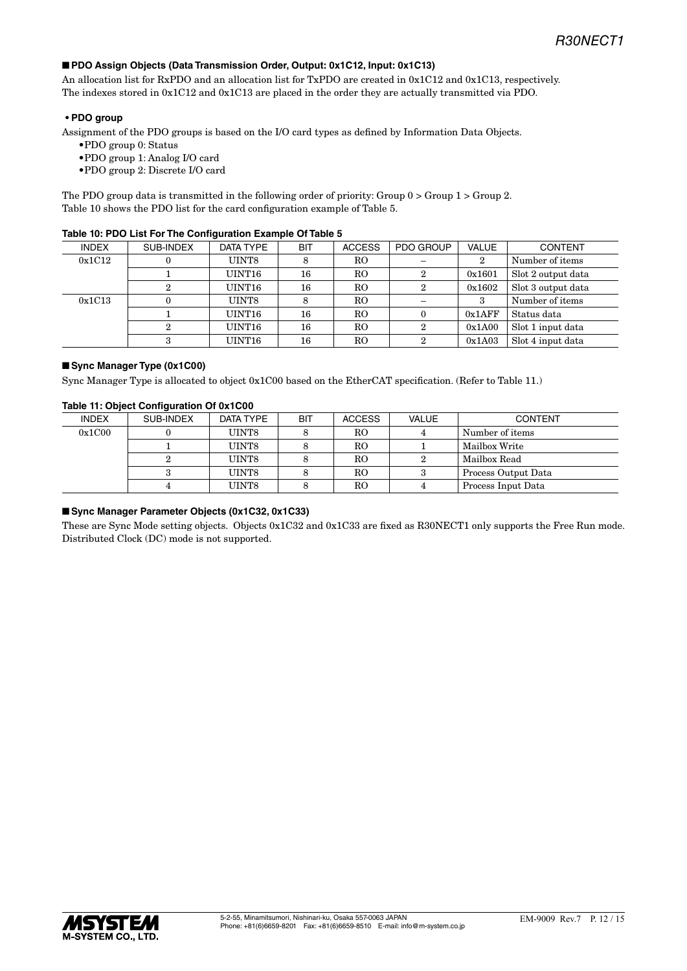#### ■ **PDO Assign Objects (Data Transmission Order, Output: 0x1C12, Input: 0x1C13)**

An allocation list for RxPDO and an allocation list for TxPDO are created in 0x1C12 and 0x1C13, respectively. The indexes stored in 0x1C12 and 0x1C13 are placed in the order they are actually transmitted via PDO.

#### **• PDO group**

Assignment of the PDO groups is based on the I/O card types as defined by Information Data Objects.

- •PDO group 0: Status
- •PDO group 1: Analog I/O card
- •PDO group 2: Discrete I/O card

The PDO group data is transmitted in the following order of priority: Group 0 > Group 1 > Group 2. Table 10 shows the PDO list for the card configuration example of Table 5.

| <b>INDEX</b> | SUB-INDEX | DATA TYPE | <b>BIT</b> | <b>ACCESS</b> | PDO GROUP      | VALUE             | <b>CONTENT</b>     |  |  |
|--------------|-----------|-----------|------------|---------------|----------------|-------------------|--------------------|--|--|
| 0x1C12       |           | UINT8     | 8          | RO            | -              | 2                 | Number of items    |  |  |
|              |           | UINT16    | 16         | RO            | 2              | 0x1601            | Slot 2 output data |  |  |
|              | 2         | UINT16    | 16         | RO            | 2              | 0x1602            | Slot 3 output data |  |  |
| 0x1C13       |           | UINT8     | 8          | RO            |                | 3                 | Number of items    |  |  |
|              |           | UINT16    | 16         | RO            |                | $0x1\mathrm{AFF}$ | Status data        |  |  |
|              |           | UINT16    | 16         | RO            | 2              | 0x1A00            | Slot 1 input data  |  |  |
|              |           | UINT16    | 16         | RO            | $\overline{2}$ | 0x1A03            | Slot 4 input data  |  |  |

#### **Table 10: PDO List For The Configuration Example Of Table 5**

#### ■ Sync Manager Type (0x1C00)

Sync Manager Type is allocated to object 0x1C00 based on the EtherCAT specification. (Refer to Table 11.)

#### **Table 11: Object Configuration Of 0x1C00**

| <b>INDEX</b> | SUB-INDEX | DATA TYPE | <b>BIT</b> | <b>ACCESS</b> | <b>VALUE</b> | <b>CONTENT</b>      |
|--------------|-----------|-----------|------------|---------------|--------------|---------------------|
| 0x1C00       |           | UINT8     |            | RO            |              | Number of items     |
|              |           | UINT8     |            | RO            |              | Mailbox Write       |
|              |           | UINT8     |            | RO            |              | Mailbox Read        |
|              |           | UINT8     |            | RO            |              | Process Output Data |
|              |           | UINT8     |            | RO            |              | Process Input Data  |

#### ■ Sync Manager Parameter Objects (0x1C32, 0x1C33)

These are Sync Mode setting objects. Objects 0x1C32 and 0x1C33 are fixed as R30NECT1 only supports the Free Run mode. Distributed Clock (DC) mode is not supported.

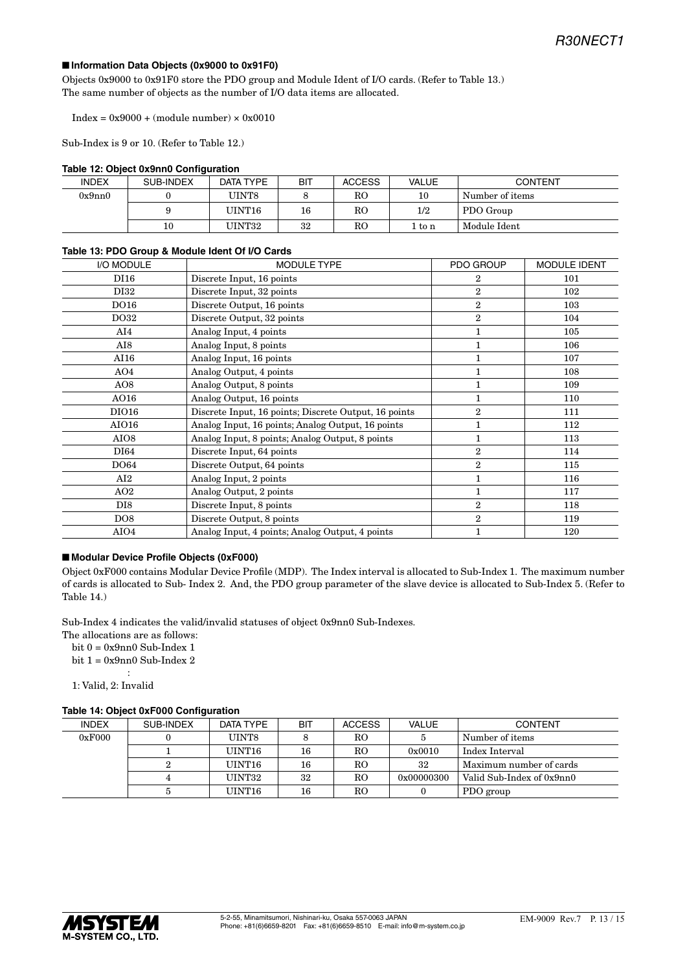#### ■ **Information Data Objects (0x9000 to 0x91F0)**

Objects 0x9000 to 0x91F0 store the PDO group and Module Ident of I/O cards. (Refer to Table 13.) The same number of objects as the number of I/O data items are allocated.

Index = 0x9000 + (module number) × 0x0010

Sub-Index is 9 or 10. (Refer to Table 12.)

#### **Table 12: Object 0x9nn0 Configuration**

| <b>INDEX</b> | SUB-INDEX | DATA TYPE | <b>BIT</b> | <b>ACCESS</b> | VALUE  | <b>CONTENT</b>  |
|--------------|-----------|-----------|------------|---------------|--------|-----------------|
| 0x9nn0       |           | UINT8     |            | RO            | 10     | Number of items |
|              |           | UINT16    | 16         | RO            | 1/2    | PDO Group       |
|              | 10        | UINT32    | 32         | RO            | 1 to n | Module Ident    |

#### **Table 13: PDO Group & Module Ident Of I/O Cards**

| I/O MODULE      | <b>MODULE TYPE</b>                                    | PDO GROUP        | <b>MODULE IDENT</b> |
|-----------------|-------------------------------------------------------|------------------|---------------------|
| DI16            | Discrete Input, 16 points                             | 2                | 101                 |
| DI32            | Discrete Input, 32 points                             | $\overline{2}$   | 102                 |
| DO16            | Discrete Output, 16 points                            | $\overline{2}$   | 103                 |
| DO32            | Discrete Output, 32 points                            | $\overline{2}$   | 104                 |
| AI4             | Analog Input, 4 points                                | $\mathbf{1}$     | 105                 |
| AI8             | Analog Input, 8 points                                | 1                | 106                 |
| AI16            | Analog Input, 16 points                               | $\mathbf{1}$     | 107                 |
| AO4             | Analog Output, 4 points                               | 1                | 108                 |
| AO <sub>8</sub> | Analog Output, 8 points                               | 1                | 109                 |
| AO16            | Analog Output, 16 points                              | 1                | 110                 |
| DI016           | Discrete Input, 16 points; Discrete Output, 16 points | $\overline{2}$   | 111                 |
| AIO16           | Analog Input, 16 points; Analog Output, 16 points     | 1                | 112                 |
| AIO8            | Analog Input, 8 points; Analog Output, 8 points       | $\mathbf{1}$     | 113                 |
| DI64            | Discrete Input, 64 points                             | $\boldsymbol{2}$ | 114                 |
| DO64            | Discrete Output, 64 points                            | $\overline{2}$   | 115                 |
| AI2             | Analog Input, 2 points                                | 1                | 116                 |
| AO2             | Analog Output, 2 points                               | 1                | 117                 |
| DI <sub>8</sub> | Discrete Input, 8 points                              | $\overline{2}$   | 118                 |
| DO <sub>8</sub> | Discrete Output, 8 points                             | $\overline{2}$   | 119                 |
| AIO4            | Analog Input, 4 points; Analog Output, 4 points       | 1                | 120                 |

#### ■ **Modular Device Profile Objects (0xF000)**

Object 0xF000 contains Modular Device Profile (MDP). The Index interval is allocated to Sub-Index 1. The maximum number of cards is allocated to Sub- Index 2. And, the PDO group parameter of the slave device is allocated to Sub-Index 5. (Refer to Table 14.)

Sub-Index 4 indicates the valid/invalid statuses of object 0x9nn0 Sub-Indexes.

The allocations are as follows:

bit  $0 = 0x9nn0$  Sub-Index 1

bit  $1 = 0x9nn0$  Sub-Index 2

: 1999 - 1999 - 1999 1: Valid, 2: Invalid

#### **Table 14: Object 0xF000 Configuration**

| <b>INDEX</b> | SUB-INDEX | DATA TYPE | <b>BIT</b> | <b>ACCESS</b>  | VALUE      | <b>CONTENT</b>            |
|--------------|-----------|-----------|------------|----------------|------------|---------------------------|
| 0xF000       |           | UINT8     |            | R <sub>O</sub> |            | Number of items           |
|              |           | UINT16    | 16         | R <sub>O</sub> | 0x0010     | Index Interval            |
|              |           | UINT16    | 16         | R <sub>O</sub> | 32         | Maximum number of cards   |
|              | 4         | UINT32    | 32         | R <sub>O</sub> | 0x00000300 | Valid Sub-Index of 0x9nn0 |
|              |           | UINT16    | 16         | RO             |            | PDO group                 |

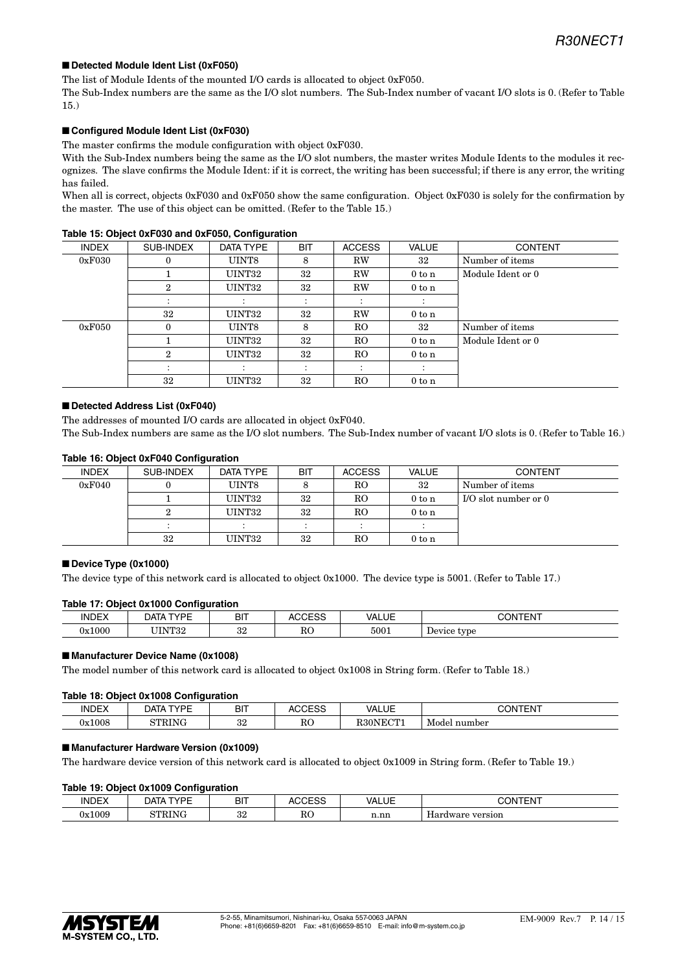#### ■ **Detected Module Ident List (0xF050)**

The list of Module Idents of the mounted I/O cards is allocated to object 0xF050.

The Sub-Index numbers are the same as the I/O slot numbers. The Sub-Index number of vacant I/O slots is 0. (Refer to Table 15.)

#### ■ **Configured Module Ident List (0xF030)**

The master confirms the module configuration with object 0xF030.

With the Sub-Index numbers being the same as the I/O slot numbers, the master writes Module Idents to the modules it recognizes. The slave confirms the Module Ident: if it is correct, the writing has been successful; if there is any error, the writing has failed.

When all is correct, objects 0xF030 and 0xF050 show the same configuration. Object 0xF030 is solely for the confirmation by the master. The use of this object can be omitted. (Refer to the Table 15.)

| <b>INDEX</b> | SUB-INDEX      | DATA TYPE | <b>BIT</b> | <b>ACCESS</b> | <b>VALUE</b> | <b>CONTENT</b>    |
|--------------|----------------|-----------|------------|---------------|--------------|-------------------|
| 0xF030       | $\bf{0}$       | UINT8     | 8          | RW            | 32           | Number of items   |
|              |                | UINT32    | 32         | RW            | $0$ to $n$   | Module Ident or 0 |
|              | $\overline{2}$ | UINT32    | 32         | RW            | $0$ to $n$   |                   |
|              |                |           |            |               |              |                   |
|              | 32             | UINT32    | 32         | RW            | $0$ to $n$   |                   |
| 0xF050       | $\bf{0}$       | UINT8     | 8          | RO.           | 32           | Number of items   |
|              |                | UINT32    | 32         | RO.           | $0$ to $n$   | Module Ident or 0 |
|              | $\overline{2}$ | UINT32    | 32         | RO.           | $0$ to $n$   |                   |
|              |                |           |            |               |              |                   |
|              | 32             | UINT32    | 32         | RO.           | $0$ to $n$   |                   |

#### **Table 15: Object 0xF030 and 0xF050, Configuration**

#### ■ **Detected Address List (0xF040)**

The addresses of mounted I/O cards are allocated in object 0xF040.

The Sub-Index numbers are same as the I/O slot numbers. The Sub-Index number of vacant I/O slots is 0. (Refer to Table 16.)

#### **Table 16: Object 0xF040 Configuration**

| <b>INDEX</b> | SUB-INDEX | DATA TYPE | <b>BIT</b> | <b>ACCESS</b> | <b>VALUE</b> | <b>CONTENT</b>         |
|--------------|-----------|-----------|------------|---------------|--------------|------------------------|
| 0xF040       |           | UINT8     |            | RO            | 32           | Number of items        |
|              |           | UINT32    | 32         | RO            | $0$ to $n$   | I/O slot number or $0$ |
|              |           | UINT32    | 32         | RO            | $0$ to $n$   |                        |
|              |           |           |            |               |              |                        |
|              | 32        | UINT32    | 32         | RO            | $0$ to $n$   |                        |

#### ■ **Device Type (0x1000)**

The device type of this network card is allocated to object 0x1000. The device type is 5001. (Refer to Table 17.)

#### **Table 17: Object 0x1000 Configuration**

| <b>INDEX</b> | <b>VDE</b><br>'∕AT∆.           | <b>DIT</b><br>ы | ACCESS<br>Avvi | <b>VALUE</b> | CONTENT<br>ΕN.             |
|--------------|--------------------------------|-----------------|----------------|--------------|----------------------------|
| 0x1000       | <b>TITAIROO</b><br>10Z<br>____ | ດດ<br>υZ        | Df<br>π∪       | 5001         | type<br>Devic <sup>c</sup> |

#### ■ **Manufacturer Device Name (0x1008)**

The model number of this network card is allocated to object 0x1008 in String form. (Refer to Table 18.)

#### **Table 18: Object 0x1008 Configuration**

| <b>INDEX</b> | <b>CVDE</b><br>"AT | <b>BIT</b> | ACCESS.<br>AUULOO | VALUE                         | <b>DOMETRIT</b><br>)N<br>EN.<br>ᄉ |
|--------------|--------------------|------------|-------------------|-------------------------------|-----------------------------------|
| 0x1008<br>.  | <b>STRIMC</b>      | ິດຕ<br>υ4  | Df<br>ni.<br>.    | P30NECT1<br>.<br>. .<br>_____ | Mode!<br>number<br>.              |

#### ■ Manufacturer Hardware Version (0x1009)

The hardware device version of this network card is allocated to object 0x1009 in String form. (Refer to Table 19.)

#### **Table 19: Object 0x1009 Configuration**

| <b>INDEX</b>     | TVDE<br>)ATA<br>- | <b>BIT</b> | $\sim$<br>^ '        | VALUE | CONTFNT<br>ΈN. |  |
|------------------|-------------------|------------|----------------------|-------|----------------|--|
| 1009ء<br>Uх<br>. | $\gamma$ m        | 0C<br>o۷   | D <sub>O</sub><br>πU | n.nn  | version        |  |